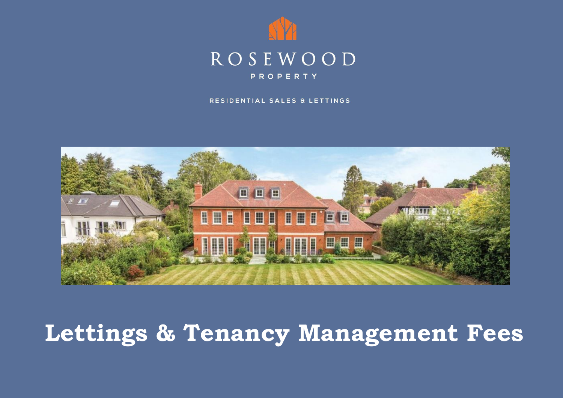

#### RESIDENTIAL SALES & LETTINGS



# **Lettings & Tenancy Management Fees**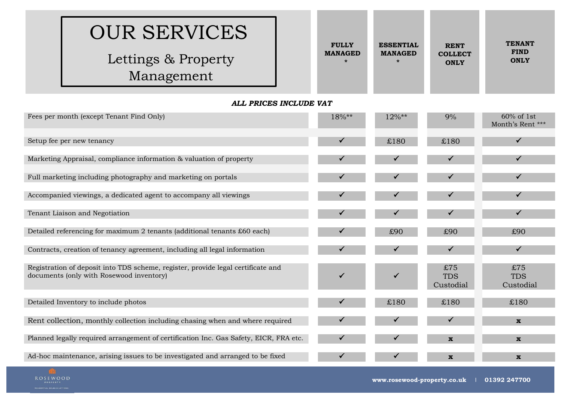| <b>OUR SERVICES</b> | <b>FULLY</b>   | <b>ESSENTIAL</b> | <b>RENT</b>    | <b>TENANT</b> |
|---------------------|----------------|------------------|----------------|---------------|
| Lettings & Property | <b>MANAGED</b> | <b>MANAGED</b>   | <b>COLLECT</b> | <b>FIND</b>   |
| Management          |                | $\ast$           | <b>ONLY</b>    | <b>ONLY</b>   |

### *ALL PRICES INCLUDE VAT*

| Fees per month (except Tenant Find Only)                                                                                     | 18%** | 12%** | 9%                             | 60% of 1st<br>Month's Rent *** |
|------------------------------------------------------------------------------------------------------------------------------|-------|-------|--------------------------------|--------------------------------|
| Setup fee per new tenancy                                                                                                    | ✔     | £180  | £180                           | ✓                              |
| Marketing Appraisal, compliance information & valuation of property                                                          |       |       |                                |                                |
| Full marketing including photography and marketing on portals                                                                |       |       |                                |                                |
| Accompanied viewings, a dedicated agent to accompany all viewings                                                            |       |       |                                |                                |
| Tenant Liaison and Negotiation                                                                                               |       |       |                                | $\checkmark$                   |
| Detailed referencing for maximum 2 tenants (additional tenants £60 each)                                                     |       | £90   | £90                            | £90                            |
| Contracts, creation of tenancy agreement, including all legal information                                                    |       |       |                                | $\checkmark$                   |
| Registration of deposit into TDS scheme, register, provide legal certificate and<br>documents (only with Rosewood inventory) |       |       | £75<br><b>TDS</b><br>Custodial | £75<br><b>TDS</b><br>Custodial |
| Detailed Inventory to include photos                                                                                         |       | £180  | £180                           | £180                           |
| Rent collection, monthly collection including chasing when and where required                                                |       |       |                                | $\mathbf{x}$                   |
| Planned legally required arrangement of certification Inc. Gas Safety, EICR, FRA etc.                                        |       |       | $\mathbf{x}$                   | $\mathbf{x}$                   |
| Ad-hoc maintenance, arising issues to be investigated and arranged to be fixed                                               | ✔     |       | $\mathbf{x}$                   | $\mathbf{x}$                   |

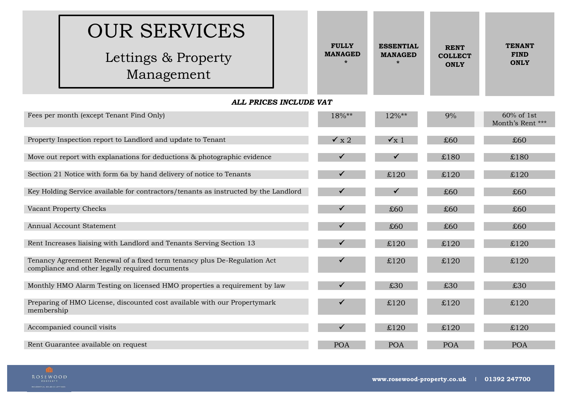| <b>OUR SERVICES</b><br>Lettings & Property<br>Management                 |  | <b>FULLY</b><br><b>MANAGED</b> | <b>ESSENTIAL</b><br><b>MANAGED</b><br>$\star$ | <b>RENT</b><br><b>COLLECT</b><br><b>ONLY</b> | <b>TENANT</b><br><b>FIND</b><br><b>ONLY</b> |  |
|--------------------------------------------------------------------------|--|--------------------------------|-----------------------------------------------|----------------------------------------------|---------------------------------------------|--|
| ALL PRICES INCLUDE VAT                                                   |  |                                |                                               |                                              |                                             |  |
| Fees per month (except Tenant Find Only)                                 |  | 18%**                          | $12\%**$                                      | 9%                                           | 60% of 1st<br>Month's Rent ***              |  |
|                                                                          |  |                                |                                               |                                              |                                             |  |
| Property Inspection report to Landlord and update to Tenant              |  | $\times x$ 2                   | $\checkmark$ x 1                              | £60                                          | £60                                         |  |
|                                                                          |  |                                |                                               |                                              |                                             |  |
| Move out report with explanations for deductions & photographic evidence |  |                                |                                               | £180                                         | £180                                        |  |

Section 21 Notice with form 6a by hand delivery of notice to Tenants  $\checkmark$   $\checkmark$   $\downarrow$   $\downarrow$   $\downarrow$   $\downarrow$   $\downarrow$   $\downarrow$   $\downarrow$   $\downarrow$   $\downarrow$   $\downarrow$   $\downarrow$   $\downarrow$   $\downarrow$   $\downarrow$   $\downarrow$   $\downarrow$   $\downarrow$   $\downarrow$   $\downarrow$   $\downarrow$   $\downarrow$   $\downarrow$   $\downarrow$   $\$ 

Key Holding Service available for contractors/tenants as instructed by the Landlord  $\checkmark$ 

Vacant Property Checks  $\sim$  £60  $\sim$  £60  $\sim$  £60  $\sim$  £60  $\sim$  £60  $\sim$  £60  $\sim$  £60  $\sim$  £60

Annual Account Statement  $\sim$  £60  $\sim$  £60  $\sim$  £60  $\sim$  £60  $\sim$  £60  $\sim$  £60

Rent Increases liaising with Landlord and Tenants Serving Section 13  $\sim$   $\sim$   $\frac{120}{120}$  £120 £120

Monthly HMO Alarm Testing on licensed HMO properties a requirement by law  $\checkmark$  630 £30 £30 £30 £30

Accompanied council visits £120 £120 £120

Rent Guarantee available on request and the contract of the POA POA POA POA POA POA POA POA

# **ROSEWOOD**

membership

Tenancy Agreement Renewal of a fixed term tenancy plus De-Regulation Act

Preparing of HMO License, discounted cost available with our Propertymark

compliance and other legally required documents

 $\checkmark$  £120 £120 £120

 $\checkmark$  £120 £120 £120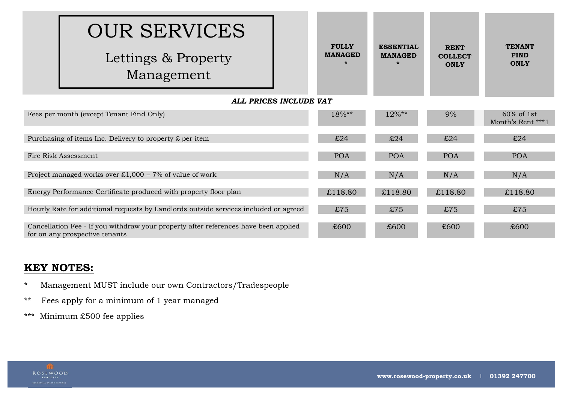|                        | <b>OUR SERVICES</b>                                                                                                   |                                |                                               |                                              |                                             |
|------------------------|-----------------------------------------------------------------------------------------------------------------------|--------------------------------|-----------------------------------------------|----------------------------------------------|---------------------------------------------|
|                        | Lettings & Property<br>Management                                                                                     | <b>FULLY</b><br><b>MANAGED</b> | <b>ESSENTIAL</b><br><b>MANAGED</b><br>$\star$ | <b>RENT</b><br><b>COLLECT</b><br><b>ONLY</b> | <b>TENANT</b><br><b>FIND</b><br><b>ONLY</b> |
| ALL PRICES INCLUDE VAT |                                                                                                                       |                                |                                               |                                              |                                             |
|                        | Fees per month (except Tenant Find Only)                                                                              | 18%**                          | 12%**                                         | 9%                                           | $60\%$ of 1st<br>Month's Rent ***1          |
|                        | Purchasing of items Inc. Delivery to property $\pounds$ per item                                                      | £24                            | £24                                           | £24                                          | £24                                         |
|                        | Fire Risk Assessment                                                                                                  | <b>POA</b>                     | <b>POA</b>                                    | <b>POA</b>                                   | <b>POA</b>                                  |
|                        | Project managed works over £1,000 = 7% of value of work                                                               | N/A                            | N/A                                           | N/A                                          | N/A                                         |
|                        | Energy Performance Certificate produced with property floor plan                                                      | £118.80                        | £118.80                                       | £118.80                                      | £118.80                                     |
|                        | Hourly Rate for additional requests by Landlords outside services included or agreed                                  | £75                            | £75                                           | £75                                          | £75                                         |
|                        | Cancellation Fee - If you withdraw your property after references have been applied<br>for on any prospective tenants | £600                           | £600                                          | £600                                         | £600                                        |

### **KEY NOTES:**

- \* Management MUST include our own Contractors/Tradespeople
- \*\* Fees apply for a minimum of 1 year managed
- \*\*\* Minimum £500 fee applies